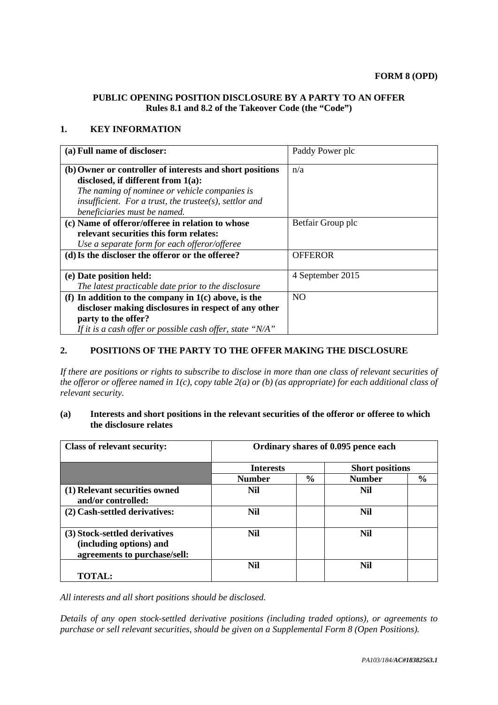## **PUBLIC OPENING POSITION DISCLOSURE BY A PARTY TO AN OFFER Rules 8.1 and 8.2 of the Takeover Code (the "Code")**

## **1. KEY INFORMATION**

| (a) Full name of discloser:                               | Paddy Power plc   |
|-----------------------------------------------------------|-------------------|
| (b) Owner or controller of interests and short positions  | n/a               |
| disclosed, if different from $1(a)$ :                     |                   |
| The naming of nominee or vehicle companies is             |                   |
| insufficient. For a trust, the trustee(s), settlor and    |                   |
| beneficiaries must be named.                              |                   |
| (c) Name of offeror/offeree in relation to whose          | Betfair Group plc |
| relevant securities this form relates:                    |                   |
| Use a separate form for each offeror/offeree              |                   |
| (d) Is the discloser the offeror or the offeree?          | <b>OFFEROR</b>    |
| (e) Date position held:                                   | 4 September 2015  |
| The latest practicable date prior to the disclosure       |                   |
| (f) In addition to the company in $1(c)$ above, is the    | NO.               |
| discloser making disclosures in respect of any other      |                   |
| party to the offer?                                       |                   |
| If it is a cash offer or possible cash offer, state "N/A" |                   |

# **2. POSITIONS OF THE PARTY TO THE OFFER MAKING THE DISCLOSURE**

*If there are positions or rights to subscribe to disclose in more than one class of relevant securities of the offeror or offeree named in 1(c), copy table 2(a) or (b) (as appropriate) for each additional class of relevant security.*

## **(a) Interests and short positions in the relevant securities of the offeror or offeree to which the disclosure relates**

| <b>Class of relevant security:</b>                                                       | Ordinary shares of 0.095 pence each |               |                        |               |
|------------------------------------------------------------------------------------------|-------------------------------------|---------------|------------------------|---------------|
|                                                                                          | <b>Interests</b>                    |               | <b>Short positions</b> |               |
|                                                                                          | <b>Number</b>                       | $\frac{6}{9}$ | <b>Number</b>          | $\frac{0}{0}$ |
| (1) Relevant securities owned<br>and/or controlled:                                      | Nil                                 |               | Nil                    |               |
| (2) Cash-settled derivatives:                                                            | <b>Nil</b>                          |               | Nil                    |               |
| (3) Stock-settled derivatives<br>(including options) and<br>agreements to purchase/sell: | <b>Nil</b>                          |               | Nil                    |               |
|                                                                                          | Nil                                 |               | Nil                    |               |
| <b>TOTAL:</b>                                                                            |                                     |               |                        |               |

*All interests and all short positions should be disclosed.*

*Details of any open stock-settled derivative positions (including traded options), or agreements to purchase or sell relevant securities, should be given on a Supplemental Form 8 (Open Positions).*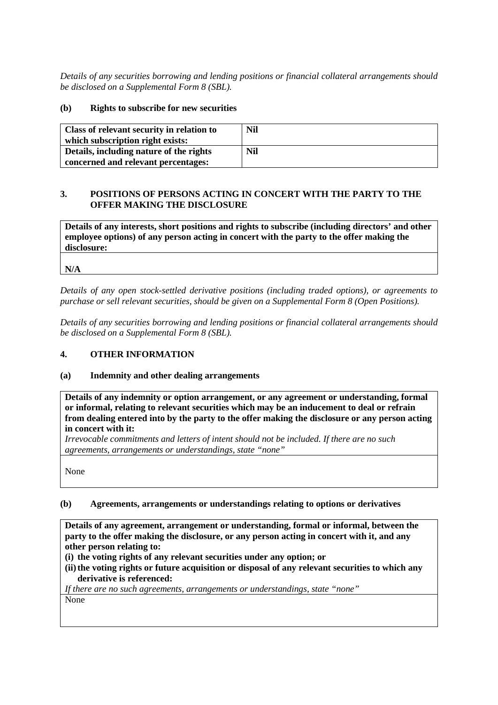*Details of any securities borrowing and lending positions or financial collateral arrangements should be disclosed on a Supplemental Form 8 (SBL).*

### **(b) Rights to subscribe for new securities**

| Class of relevant security in relation to | Nil |
|-------------------------------------------|-----|
| which subscription right exists:          |     |
| Details, including nature of the rights   | Nil |
| concerned and relevant percentages:       |     |

# **3. POSITIONS OF PERSONS ACTING IN CONCERT WITH THE PARTY TO THE OFFER MAKING THE DISCLOSURE**

**Details of any interests, short positions and rights to subscribe (including directors' and other employee options) of any person acting in concert with the party to the offer making the disclosure:**

**N/A**

*Details of any open stock-settled derivative positions (including traded options), or agreements to purchase or sell relevant securities, should be given on a Supplemental Form 8 (Open Positions).*

*Details of any securities borrowing and lending positions or financial collateral arrangements should be disclosed on a Supplemental Form 8 (SBL).*

# **4. OTHER INFORMATION**

### **(a) Indemnity and other dealing arrangements**

**Details of any indemnity or option arrangement, or any agreement or understanding, formal or informal, relating to relevant securities which may be an inducement to deal or refrain from dealing entered into by the party to the offer making the disclosure or any person acting in concert with it:**

*Irrevocable commitments and letters of intent should not be included. If there are no such agreements, arrangements or understandings, state "none"*

None

### **(b) Agreements, arrangements or understandings relating to options or derivatives**

**Details of any agreement, arrangement or understanding, formal or informal, between the party to the offer making the disclosure, or any person acting in concert with it, and any other person relating to:**

- **(i) the voting rights of any relevant securities under any option; or**
- (ii) the voting rights or future acquisition or disposal of any relevant securities to which any **derivative is referenced:**

*If there are no such agreements, arrangements or understandings, state "none"* None